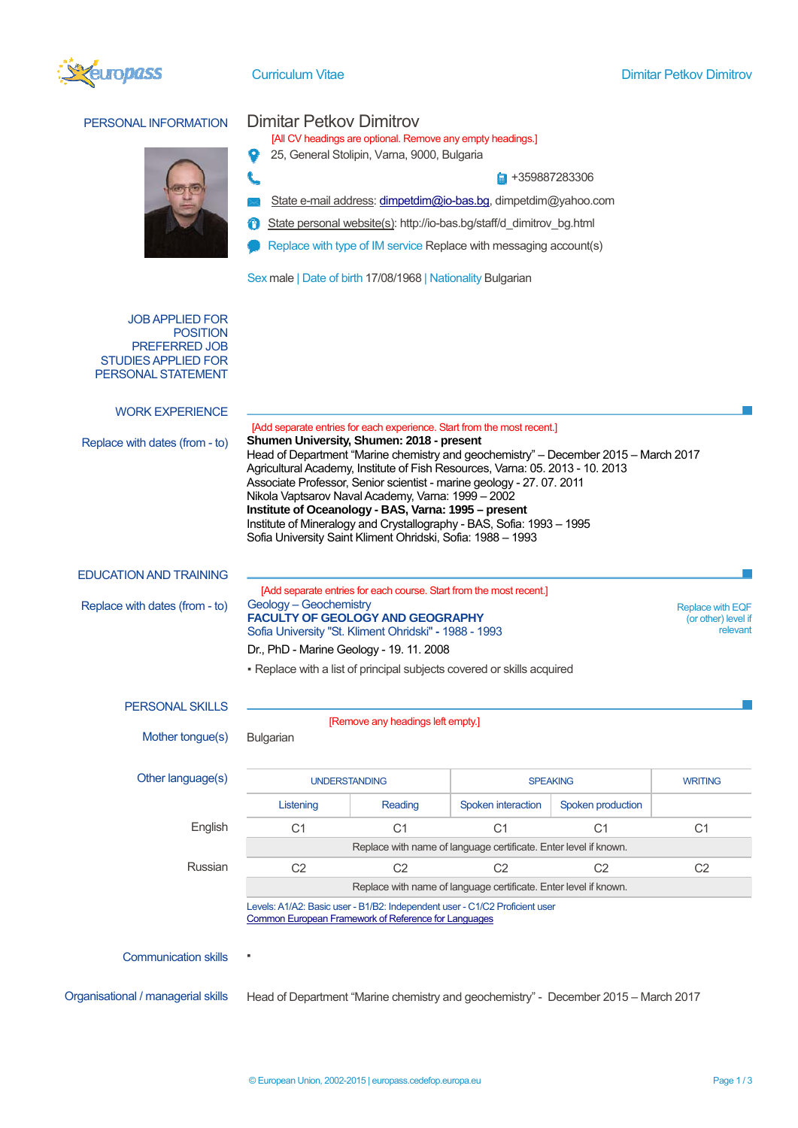

L



## PERSONAL INFORMATION Dimitar Petkov Dimitrov

[All CV headings are optional. Remove any empty headings.]

 $\bullet$ 25, General Stolipin, Varna, 9000, Bulgaria

 $\frac{1}{2}$  +359887283306

- State e-mail address: [dimpetdim@io-bas.bg](mailto:dimpetdim@io-bas.bg), dimpetdim@yahoo.com
- State personal website(s): http://io-bas.bg/staff/d\_dimitrov\_bg.html
- Replace with type of IM service Replace with messaging account(s)

Sex male | Date of birth 17/08/1968 | Nationality Bulgarian

## JOB APPLIED FOR **POSITION** PREFERRED JOB STUDIES APPLIED FOR PERSONAL STATEMENT

| <b>WORK EXPERIENCE</b>             |                                                                                                                                                                                                                                                                                                                                                                                                                                                                                                                                                                                                                             |                |                    |                   |                |  |  |  |
|------------------------------------|-----------------------------------------------------------------------------------------------------------------------------------------------------------------------------------------------------------------------------------------------------------------------------------------------------------------------------------------------------------------------------------------------------------------------------------------------------------------------------------------------------------------------------------------------------------------------------------------------------------------------------|----------------|--------------------|-------------------|----------------|--|--|--|
| Replace with dates (from - to)     | [Add separate entries for each experience. Start from the most recent.]<br>Shumen University, Shumen: 2018 - present<br>Head of Department "Marine chemistry and geochemistry" - December 2015 - March 2017<br>Agricultural Academy, Institute of Fish Resources, Varna: 05. 2013 - 10. 2013<br>Associate Professor, Senior scientist - marine geology - 27. 07. 2011<br>Nikola Vaptsarov Naval Academy, Varna: 1999 - 2002<br>Institute of Oceanology - BAS, Varna: 1995 - present<br>Institute of Mineralogy and Crystallography - BAS, Sofia: 1993 - 1995<br>Sofia University Saint Kliment Ohridski, Sofia: 1988 - 1993 |                |                    |                   |                |  |  |  |
| <b>EDUCATION AND TRAINING</b>      |                                                                                                                                                                                                                                                                                                                                                                                                                                                                                                                                                                                                                             |                |                    |                   |                |  |  |  |
| Replace with dates (from - to)     | [Add separate entries for each course. Start from the most recent.]<br>Geology - Geochemistry<br><b>Replace with EQF</b><br><b>FACULTY OF GEOLOGY AND GEOGRAPHY</b><br>(or other) level if<br>Sofia University "St. Kliment Ohridski" - 1988 - 1993<br>Dr., PhD - Marine Geology - 19. 11. 2008                                                                                                                                                                                                                                                                                                                             |                |                    |                   |                |  |  |  |
|                                    | - Replace with a list of principal subjects covered or skills acquired                                                                                                                                                                                                                                                                                                                                                                                                                                                                                                                                                      |                |                    |                   |                |  |  |  |
| <b>PERSONAL SKILLS</b>             |                                                                                                                                                                                                                                                                                                                                                                                                                                                                                                                                                                                                                             |                |                    |                   |                |  |  |  |
| Mother tongue(s)                   | [Remove any headings left empty.]<br><b>Bulgarian</b>                                                                                                                                                                                                                                                                                                                                                                                                                                                                                                                                                                       |                |                    |                   |                |  |  |  |
| Other language(s)                  | <b>UNDERSTANDING</b>                                                                                                                                                                                                                                                                                                                                                                                                                                                                                                                                                                                                        |                |                    | <b>SPEAKING</b>   |                |  |  |  |
|                                    | Listening                                                                                                                                                                                                                                                                                                                                                                                                                                                                                                                                                                                                                   | Reading        | Spoken interaction | Spoken production |                |  |  |  |
| English                            | C <sub>1</sub>                                                                                                                                                                                                                                                                                                                                                                                                                                                                                                                                                                                                              | C <sub>1</sub> | C <sub>1</sub>     | C <sub>1</sub>    | C <sub>1</sub> |  |  |  |
|                                    | Replace with name of language certificate. Enter level if known.                                                                                                                                                                                                                                                                                                                                                                                                                                                                                                                                                            |                |                    |                   |                |  |  |  |
| Russian                            | C <sub>2</sub>                                                                                                                                                                                                                                                                                                                                                                                                                                                                                                                                                                                                              | C <sub>2</sub> | C <sub>2</sub>     | C <sub>2</sub>    | C <sub>2</sub> |  |  |  |
|                                    | Replace with name of language certificate. Enter level if known.                                                                                                                                                                                                                                                                                                                                                                                                                                                                                                                                                            |                |                    |                   |                |  |  |  |
|                                    | Levels: A1/A2: Basic user - B1/B2: Independent user - C1/C2 Proficient user<br>Common European Framework of Reference for Languages                                                                                                                                                                                                                                                                                                                                                                                                                                                                                         |                |                    |                   |                |  |  |  |
| <b>Communication skills</b>        |                                                                                                                                                                                                                                                                                                                                                                                                                                                                                                                                                                                                                             |                |                    |                   |                |  |  |  |
| Organisational / managerial skills | Head of Department "Marine chemistry and geochemistry" - December 2015 - March 2017                                                                                                                                                                                                                                                                                                                                                                                                                                                                                                                                         |                |                    |                   |                |  |  |  |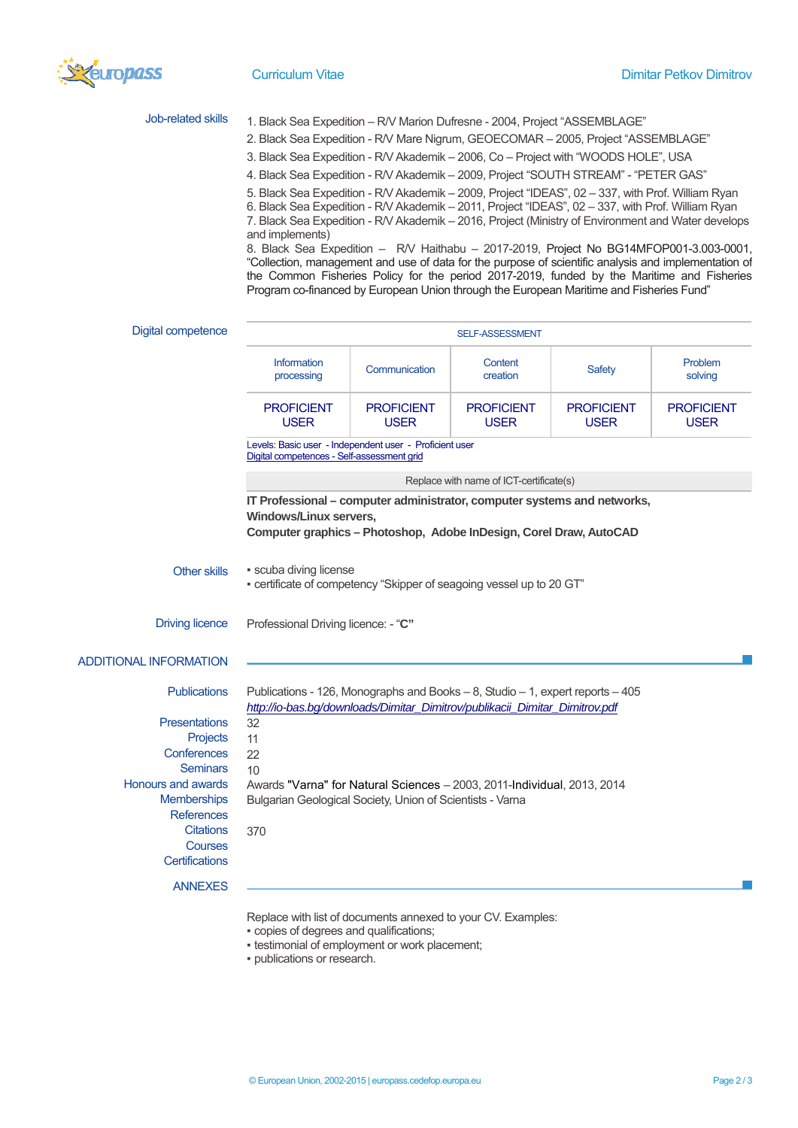

| Job-related skills                                           |                                                                                                                                                                                                                                                                                                                                                                                                                                                                                                                                                                                                                                                                                                                            | 1. Black Sea Expedition - R/V Marion Dufresne - 2004, Project "ASSEMBLAGE" |                                  |                                  |                                  |  |  |  |
|--------------------------------------------------------------|----------------------------------------------------------------------------------------------------------------------------------------------------------------------------------------------------------------------------------------------------------------------------------------------------------------------------------------------------------------------------------------------------------------------------------------------------------------------------------------------------------------------------------------------------------------------------------------------------------------------------------------------------------------------------------------------------------------------------|----------------------------------------------------------------------------|----------------------------------|----------------------------------|----------------------------------|--|--|--|
|                                                              | 2. Black Sea Expedition - R/V Mare Nigrum, GEOECOMAR - 2005, Project "ASSEMBLAGE"                                                                                                                                                                                                                                                                                                                                                                                                                                                                                                                                                                                                                                          |                                                                            |                                  |                                  |                                  |  |  |  |
|                                                              | 3. Black Sea Expedition - R/V Akademik - 2006, Co - Project with "WOODS HOLE", USA                                                                                                                                                                                                                                                                                                                                                                                                                                                                                                                                                                                                                                         |                                                                            |                                  |                                  |                                  |  |  |  |
|                                                              | 4. Black Sea Expedition - R/V Akademik - 2009, Project "SOUTH STREAM" - "PETER GAS"                                                                                                                                                                                                                                                                                                                                                                                                                                                                                                                                                                                                                                        |                                                                            |                                  |                                  |                                  |  |  |  |
|                                                              | 5. Black Sea Expedition - R/V Akademik - 2009, Project "IDEAS", 02 - 337, with Prof. William Ryan<br>6. Black Sea Expedition - R/V Akademik - 2011, Project "IDEAS", 02 - 337, with Prof. William Ryan<br>7. Black Sea Expedition - R/V Akademik - 2016, Project (Ministry of Environment and Water develops<br>and implements)<br>8. Black Sea Expedition - R/V Haithabu - 2017-2019, Project No BG14MFOP001-3.003-0001,<br>"Collection, management and use of data for the purpose of scientific analysis and implementation of<br>the Common Fisheries Policy for the period 2017-2019, funded by the Maritime and Fisheries<br>Program co-financed by European Union through the European Maritime and Fisheries Fund" |                                                                            |                                  |                                  |                                  |  |  |  |
|                                                              |                                                                                                                                                                                                                                                                                                                                                                                                                                                                                                                                                                                                                                                                                                                            |                                                                            |                                  |                                  |                                  |  |  |  |
| Digital competence                                           | SELF-ASSESSMENT                                                                                                                                                                                                                                                                                                                                                                                                                                                                                                                                                                                                                                                                                                            |                                                                            |                                  |                                  |                                  |  |  |  |
|                                                              | <b>Information</b><br>processing                                                                                                                                                                                                                                                                                                                                                                                                                                                                                                                                                                                                                                                                                           | Communication                                                              | Content<br>creation              | Safety                           | Problem<br>solving               |  |  |  |
|                                                              | <b>PROFICIENT</b><br><b>USER</b>                                                                                                                                                                                                                                                                                                                                                                                                                                                                                                                                                                                                                                                                                           | <b>PROFICIENT</b><br><b>USER</b>                                           | <b>PROFICIENT</b><br><b>USER</b> | <b>PROFICIENT</b><br><b>USER</b> | <b>PROFICIENT</b><br><b>USER</b> |  |  |  |
|                                                              | Levels: Basic user - Independent user - Proficient user<br>Digital competences - Self-assessment grid                                                                                                                                                                                                                                                                                                                                                                                                                                                                                                                                                                                                                      |                                                                            |                                  |                                  |                                  |  |  |  |
|                                                              | Replace with name of ICT-certificate(s)                                                                                                                                                                                                                                                                                                                                                                                                                                                                                                                                                                                                                                                                                    |                                                                            |                                  |                                  |                                  |  |  |  |
| <b>Other skills</b>                                          | <b>Windows/Linux servers,</b><br>Computer graphics - Photoshop, Adobe InDesign, Corel Draw, AutoCAD<br>· scuba diving license<br>• certificate of competency "Skipper of seagoing vessel up to 20 GT"                                                                                                                                                                                                                                                                                                                                                                                                                                                                                                                      |                                                                            |                                  |                                  |                                  |  |  |  |
| <b>Driving licence</b>                                       | Professional Driving licence: - "C"                                                                                                                                                                                                                                                                                                                                                                                                                                                                                                                                                                                                                                                                                        |                                                                            |                                  |                                  |                                  |  |  |  |
| <b>ADDITIONAL INFORMATION</b>                                |                                                                                                                                                                                                                                                                                                                                                                                                                                                                                                                                                                                                                                                                                                                            |                                                                            |                                  |                                  |                                  |  |  |  |
| <b>Publications</b><br><b>Presentations</b>                  | Publications - 126, Monographs and Books - 8, Studio - 1, expert reports - 405<br>http://io-bas.bq/downloads/Dimitar Dimitrov/publikacii Dimitar Dimitrov.pdf<br>32                                                                                                                                                                                                                                                                                                                                                                                                                                                                                                                                                        |                                                                            |                                  |                                  |                                  |  |  |  |
| Projects                                                     | 11                                                                                                                                                                                                                                                                                                                                                                                                                                                                                                                                                                                                                                                                                                                         |                                                                            |                                  |                                  |                                  |  |  |  |
| Conferences                                                  | 22                                                                                                                                                                                                                                                                                                                                                                                                                                                                                                                                                                                                                                                                                                                         |                                                                            |                                  |                                  |                                  |  |  |  |
| Seminars                                                     | 10                                                                                                                                                                                                                                                                                                                                                                                                                                                                                                                                                                                                                                                                                                                         |                                                                            |                                  |                                  |                                  |  |  |  |
| Honours and awards<br>Memberships<br><b>References</b>       | Awards "Varna" for Natural Sciences - 2003, 2011-Individual, 2013, 2014<br>Bulgarian Geological Society, Union of Scientists - Varna                                                                                                                                                                                                                                                                                                                                                                                                                                                                                                                                                                                       |                                                                            |                                  |                                  |                                  |  |  |  |
| <b>Citations</b><br><b>Courses</b><br><b>Certifications</b>  | 370                                                                                                                                                                                                                                                                                                                                                                                                                                                                                                                                                                                                                                                                                                                        |                                                                            |                                  |                                  |                                  |  |  |  |
| <b>ANNEXES</b>                                               |                                                                                                                                                                                                                                                                                                                                                                                                                                                                                                                                                                                                                                                                                                                            |                                                                            |                                  |                                  |                                  |  |  |  |
| Replace with list of documents annexed to your CV. Examples: |                                                                                                                                                                                                                                                                                                                                                                                                                                                                                                                                                                                                                                                                                                                            |                                                                            |                                  |                                  |                                  |  |  |  |

- copies of degrees and qualifications;
- testimonial of employment or work placement;
- publications or research.